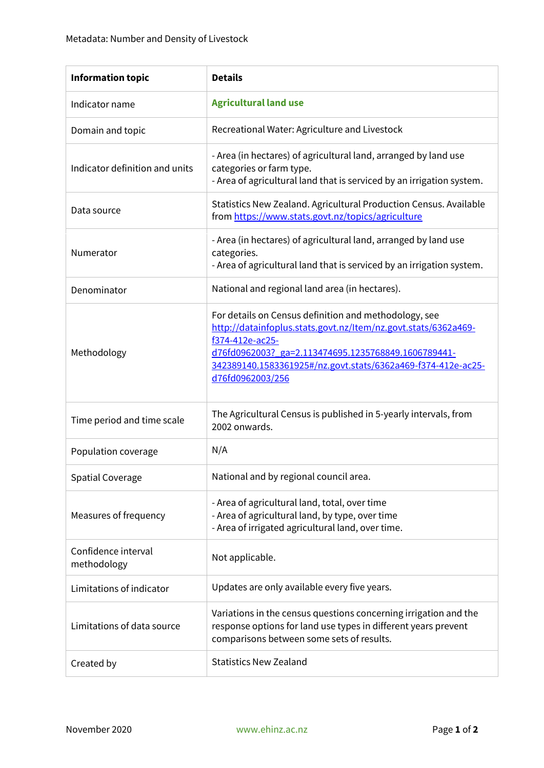| <b>Information topic</b>           | <b>Details</b>                                                                                                                                                                                                                                                                        |
|------------------------------------|---------------------------------------------------------------------------------------------------------------------------------------------------------------------------------------------------------------------------------------------------------------------------------------|
| Indicator name                     | <b>Agricultural land use</b>                                                                                                                                                                                                                                                          |
| Domain and topic                   | Recreational Water: Agriculture and Livestock                                                                                                                                                                                                                                         |
| Indicator definition and units     | - Area (in hectares) of agricultural land, arranged by land use<br>categories or farm type.<br>- Area of agricultural land that is serviced by an irrigation system.                                                                                                                  |
| Data source                        | Statistics New Zealand. Agricultural Production Census. Available<br>from https://www.stats.govt.nz/topics/agriculture                                                                                                                                                                |
| Numerator                          | - Area (in hectares) of agricultural land, arranged by land use<br>categories.<br>- Area of agricultural land that is serviced by an irrigation system.                                                                                                                               |
| Denominator                        | National and regional land area (in hectares).                                                                                                                                                                                                                                        |
| Methodology                        | For details on Census definition and methodology, see<br>http://datainfoplus.stats.govt.nz/Item/nz.govt.stats/6362a469-<br>f374-412e-ac25-<br>d76fd0962003? ga=2.113474695.1235768849.1606789441-<br>342389140.1583361925#/nz.govt.stats/6362a469-f374-412e-ac25-<br>d76fd0962003/256 |
| Time period and time scale         | The Agricultural Census is published in 5-yearly intervals, from<br>2002 onwards.                                                                                                                                                                                                     |
| Population coverage                | N/A                                                                                                                                                                                                                                                                                   |
| <b>Spatial Coverage</b>            | National and by regional council area.                                                                                                                                                                                                                                                |
| Measures of frequency              | - Area of agricultural land, total, over time<br>- Area of agricultural land, by type, over time<br>- Area of irrigated agricultural land, over time.                                                                                                                                 |
| Confidence interval<br>methodology | Not applicable.                                                                                                                                                                                                                                                                       |
| Limitations of indicator           | Updates are only available every five years.                                                                                                                                                                                                                                          |
| Limitations of data source         | Variations in the census questions concerning irrigation and the<br>response options for land use types in different years prevent<br>comparisons between some sets of results.                                                                                                       |
| Created by                         | <b>Statistics New Zealand</b>                                                                                                                                                                                                                                                         |